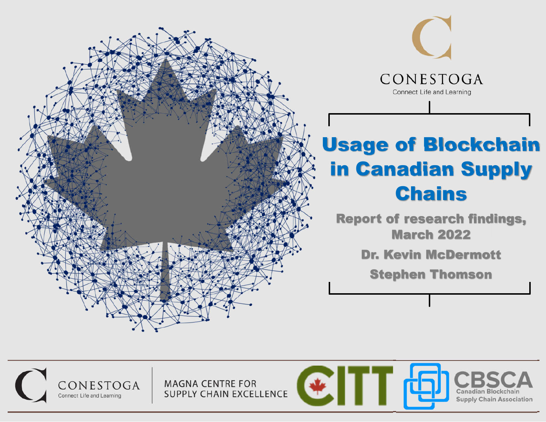



## Usage of Blockchain in Canadian Supply Chains

Report of research findings, March 2022

Dr. Kevin McDermott

Stephen Thomson

CONESTOGA Connect Life and Learning

**MAGNA CENTRE FOR** SUPPLY CHAIN EXCELLENCE

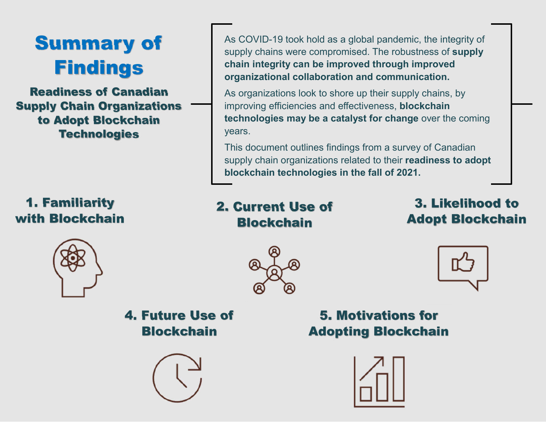

Readiness of Canadian Supply Chain Organizations to Adopt Blockchain **Technologies** 

### 1. Familiarity with Blockchain

As COVID-19 took hold as a global pandemic, the integrity of supply chains were compromised. The robustness of **supply chain integrity can be improved through improved organizational collaboration and communication.**

As organizations look to shore up their supply chains, by improving efficiencies and effectiveness, **blockchain technologies may be a catalyst for change** over the coming years.

This document outlines findings from a survey of Canadian supply chain organizations related to their **readiness to adopt blockchain technologies in the fall of 2021.**

2. Current Use of **Blockchain** 

3. Likelihood to Adopt Blockchain







4. Future Use of **Blockchain** 



5. Motivations for Adopting Blockchain

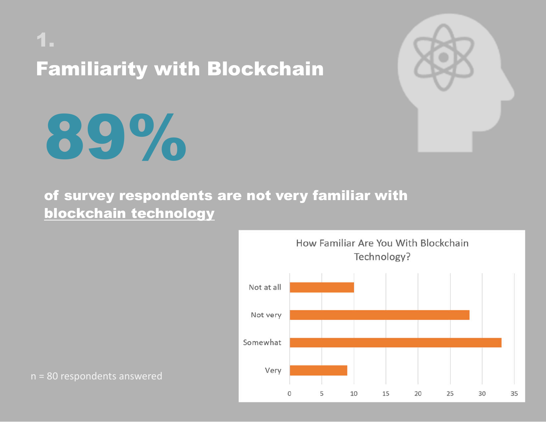# 1. Familiarity with Blockchain



### of survey respondents are not very familiar with blockchain technology



n = 80 respondents answered

89%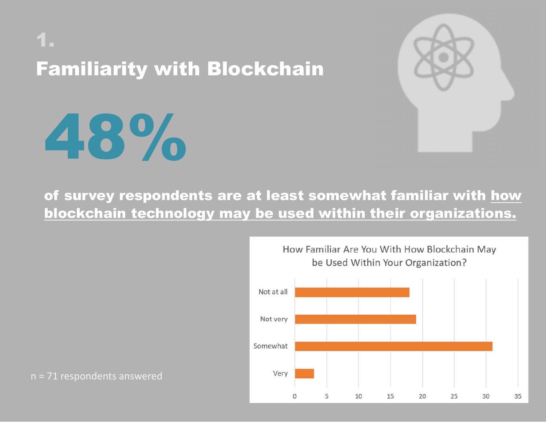# 1. Familiarity with Blockchain



### of survey respondents are at least somewhat familiar with how blockchain technology may be used within their organizations.



n = 71 respondents answered

48%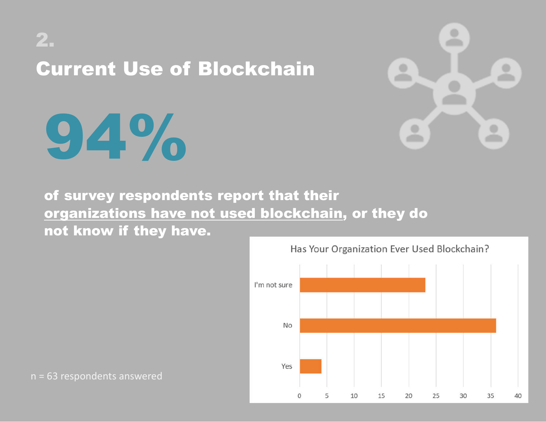## 2. Current Use of Blockchain



of survey respondents report that their organizations have not used blockchain, or they do not know if they have.



n = 63 respondents answered

94%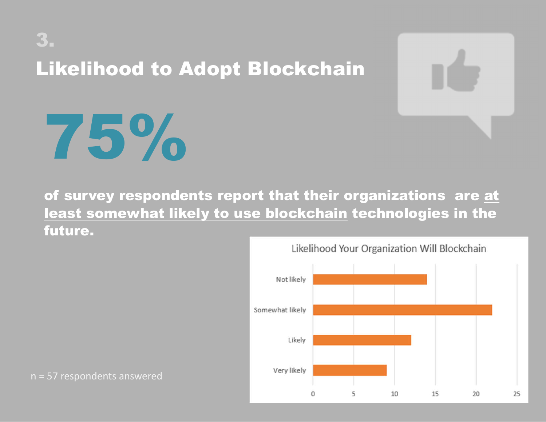## 3. Likelihood to Adopt Blockchain



# 75%

of survey respondents report that their organizations are at least somewhat likely to use blockchain technologies in the future.



n = 57 respondents answered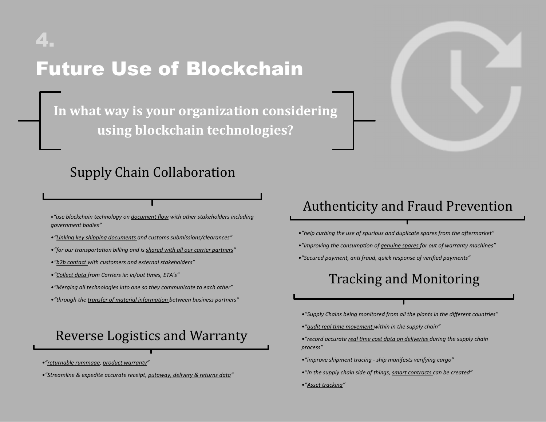## 4. Future Use of Blockchain

In what way is your organization considering **using blockchain technologies?**

### Supply Chain Collaboration

•*"use blockchain technology on document flow with other stakeholders including government bodies"*

- *•"Linking key shipping documents and customs submissions/clearances"*
- "for our transportation billing and is shared with all our carrier partners"
- *•"b2b contact with customers and external stakeholders"*
- *•"Collect data from Carriers ie: in/out mes, ETA's"*
- *•"Merging all technologies into one so they communicate to each other"*
- "through the *transfer of material information* between business partners"

### Reverse Logistics and Warranty

- *•"returnable rummage, product warranty"*
- *•"Streamline & expedite accurate receipt, putaway, delivery & returns data"*

### Authenticity and Fraud Prevention

- •"help curbing the use of spurious and duplicate spares from the aftermarket"
- •"improving the consumption of genuine spares for out of warranty machines"
- *•"Secured payment, an fraud, quick response of verified payments"*

### Tracking and Monitoring

- *•"Supply Chains being monitored from all the plants in the different countries"*
- *•"audit real me movement within in the supply chain"*
- •"record accurate real time cost data on deliveries during the supply chain *process"*
- *•"improve shipment tracing - ship manifests verifying cargo"*
- *•"In the supply chain side of things, smart contracts can be created"*
- *•"Asset tracking"*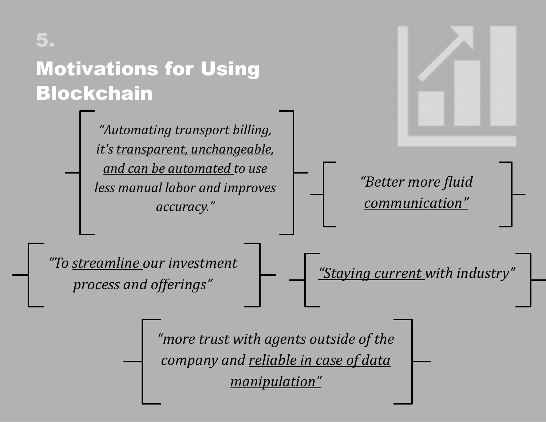

*process and offerings"* 

*"Staying current with industry"* 

"more trust with agents outside of the *company* and **reliable** in case of data *manipulation"*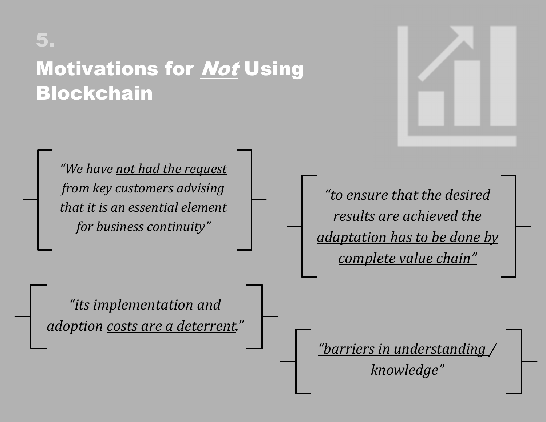## 5.

### **Motivations for Not Using** Blockchain



"We have not had the request *from key customers advising that it is an essential element for business continuity"* 

*"to ensure that the desired results are achieved the <u>adaptation has to be done by</u> complete value chain"* 

"its implementation and *adoption* costs are a deterrent."

*<u>"barriers in understanding</u>/* 

*knowledge"*